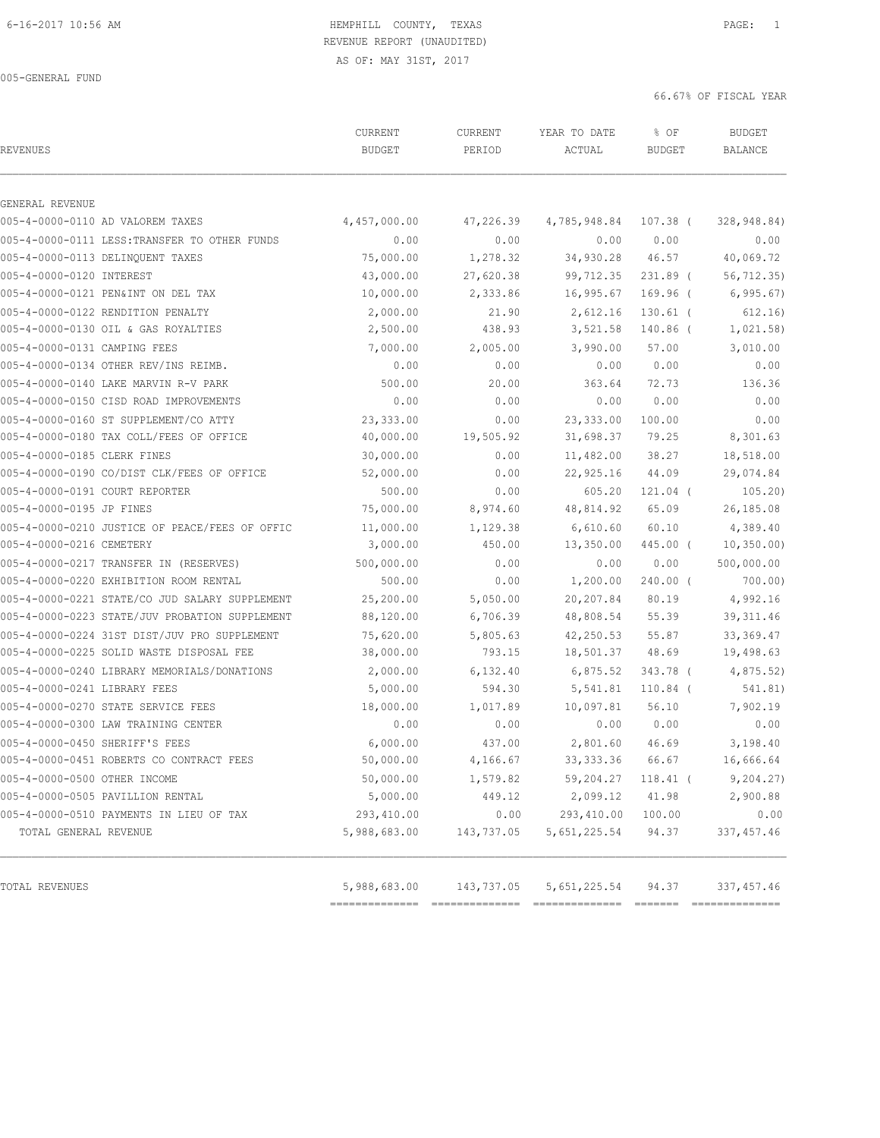| <b>REVENUES</b>                                | CURRENT<br><b>BUDGET</b> | CURRENT<br>PERIOD | YEAR TO DATE<br>ACTUAL | % OF<br><b>BUDGET</b> | <b>BUDGET</b><br><b>BALANCE</b> |
|------------------------------------------------|--------------------------|-------------------|------------------------|-----------------------|---------------------------------|
| GENERAL REVENUE                                |                          |                   |                        |                       |                                 |
| 005-4-0000-0110 AD VALOREM TAXES               | 4,457,000.00             | 47,226.39         | 4,785,948.84 107.38 (  |                       | 328,948.84)                     |
| 005-4-0000-0111 LESS: TRANSFER TO OTHER FUNDS  | 0.00                     | 0.00              | 0.00                   | 0.00                  | 0.00                            |
| 005-4-0000-0113 DELINQUENT TAXES               | 75,000.00                | 1,278.32          | 34,930.28 46.57        |                       | 40,069.72                       |
| 005-4-0000-0120 INTEREST                       | 43,000.00                | 27,620.38         | 99,712.35              | $231.89$ (            | 56, 712.35                      |
| 005-4-0000-0121 PEN&INT ON DEL TAX             | 10,000.00                | 2,333.86          | 16,995.67              | 169.96 (              | 6, 995.67                       |
| 005-4-0000-0122 RENDITION PENALTY              | 2,000.00                 | 21.90             | 2,612.16               | $130.61$ (            | 612.16)                         |
| 005-4-0000-0130 OIL & GAS ROYALTIES            | 2,500.00                 | 438.93            | 3,521.58               | 140.86 (              | 1,021.58)                       |
| 005-4-0000-0131 CAMPING FEES                   | 7,000.00                 | 2,005.00          | 3,990.00               | 57.00                 | 3,010.00                        |
| 005-4-0000-0134 OTHER REV/INS REIMB.           | 0.00                     | 0.00              | 0.00                   | 0.00                  | 0.00                            |
| 005-4-0000-0140 LAKE MARVIN R-V PARK           | 500.00                   | 20.00             | 363.64                 | 72.73                 | 136.36                          |
| 005-4-0000-0150 CISD ROAD IMPROVEMENTS         | 0.00                     | 0.00              | 0.00                   | 0.00                  | 0.00                            |
| 005-4-0000-0160 ST SUPPLEMENT/CO ATTY          | 23,333.00                | 0.00              | 23,333.00              | 100.00                | 0.00                            |
| 005-4-0000-0180 TAX COLL/FEES OF OFFICE        | 40,000.00                | 19,505.92         | 31,698.37              | 79.25                 | 8,301.63                        |
| 005-4-0000-0185 CLERK FINES                    | 30,000.00                | 0.00              | 11,482.00              | 38.27                 | 18,518.00                       |
| 005-4-0000-0190 CO/DIST CLK/FEES OF OFFICE     | 52,000.00                | 0.00              | 22,925.16              | 44.09                 | 29,074.84                       |
| 005-4-0000-0191 COURT REPORTER                 | 500.00                   | 0.00              | 605.20                 | 121.04 (              | 105.20)                         |
| 005-4-0000-0195 JP FINES                       | 75,000.00                | 8,974.60          | 48,814.92              | 65.09                 | 26,185.08                       |
| 005-4-0000-0210 JUSTICE OF PEACE/FEES OF OFFIC | 11,000.00                | 1,129.38          | 6,610.60               | 60.10                 | 4,389.40                        |
| 005-4-0000-0216 CEMETERY                       | 3,000.00                 | 450.00            | 13,350.00              | 445.00 (              | 10, 350.00                      |
| 005-4-0000-0217 TRANSFER IN (RESERVES)         | 500,000.00               | 0.00              | 0.00                   | 0.00                  | 500,000.00                      |
| 005-4-0000-0220 EXHIBITION ROOM RENTAL         | 500.00                   | 0.00              | 1,200.00               | $240.00$ (            | 700.00)                         |
| 005-4-0000-0221 STATE/CO JUD SALARY SUPPLEMENT | 25,200.00                | 5,050.00          | 20,207.84              | 80.19                 | 4,992.16                        |
| 005-4-0000-0223 STATE/JUV PROBATION SUPPLEMENT | 88,120.00                | 6,706.39          | 48,808.54              | 55.39                 | 39, 311.46                      |
| 005-4-0000-0224 31ST DIST/JUV PRO SUPPLEMENT   | 75,620.00                | 5,805.63          | 42,250.53              | 55.87                 | 33, 369.47                      |
| 005-4-0000-0225 SOLID WASTE DISPOSAL FEE       | 38,000.00                | 793.15            | 18,501.37              | 48.69                 | 19,498.63                       |
| 005-4-0000-0240 LIBRARY MEMORIALS/DONATIONS    | 2,000.00                 | 6,132.40          | 6,875.52               | 343.78 (              | 4,875.52                        |
| 005-4-0000-0241 LIBRARY FEES                   | 5,000.00                 | 594.30            | 5,541.81               | 110.84 (              | 541.81)                         |
| 005-4-0000-0270 STATE SERVICE FEES             | 18,000.00                | 1,017.89          | 10,097.81              | 56.10                 | 7,902.19                        |
| 005-4-0000-0300 LAW TRAINING CENTER            | 0.00                     | 0.00              | 0.00                   | 0.00                  | 0.00                            |
| 005-4-0000-0450 SHERIFF'S FEES                 | 6,000.00                 | 437.00            | 2,801.60               | 46.69                 | 3,198.40                        |
| 005-4-0000-0451 ROBERTS CO CONTRACT FEES       | 50,000.00                | 4,166.67          | 33, 333.36 66.67       |                       | 16,666.64                       |
| 005-4-0000-0500 OTHER INCOME                   | 50,000.00                | 1,579.82          | 59,204.27              | $118.41$ (            | 9, 204.27)                      |
| 005-4-0000-0505 PAVILLION RENTAL               | 5,000.00                 | 449.12            | 2,099.12               | 41.98                 | 2,900.88                        |
| 005-4-0000-0510 PAYMENTS IN LIEU OF TAX        | 293,410.00               | 0.00              | 293,410.00             | 100.00                | 0.00                            |
| TOTAL GENERAL REVENUE                          | 5,988,683.00             | 143,737.05        | 5,651,225.54           | 94.37                 | 337, 457.46                     |
| TOTAL REVENUES                                 | 5,988,683.00             | 143,737.05        | 5,651,225.54           | 94.37                 | 337, 457.46                     |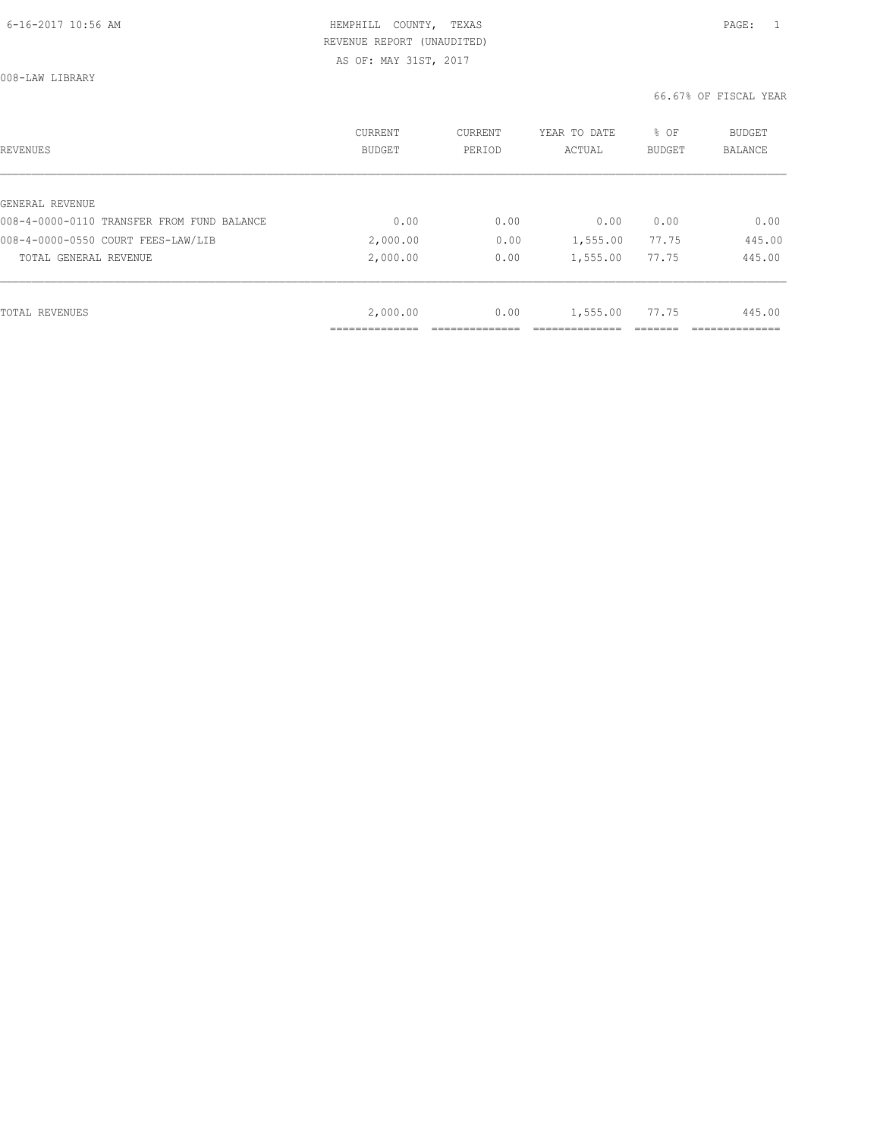AS OF: MAY 31ST, 2017

008-LAW LIBRARY

| REVENUES                                   | <b>CURRENT</b><br><b>BUDGET</b> | CURRENT<br>PERIOD | YEAR TO DATE<br>ACTUAL | % OF<br>BUDGET | BUDGET<br><b>BALANCE</b> |
|--------------------------------------------|---------------------------------|-------------------|------------------------|----------------|--------------------------|
|                                            |                                 |                   |                        |                |                          |
| GENERAL REVENUE                            |                                 |                   |                        |                |                          |
| 008-4-0000-0110 TRANSFER FROM FUND BALANCE | 0.00                            | 0.00              | 0.00                   | 0.00           | 0.00                     |
| 008-4-0000-0550 COURT FEES-LAW/LIB         | 2,000.00                        | 0.00              | 1,555.00               | 77.75          | 445.00                   |
| TOTAL GENERAL REVENUE                      | 2,000.00                        | 0.00              | 1,555.00               | 77.75          | 445.00                   |
|                                            |                                 |                   |                        |                |                          |
| TOTAL REVENUES                             | 2,000.00                        | 0.00              | 1,555.00               | 77.75          | 445.00                   |
|                                            |                                 |                   |                        |                |                          |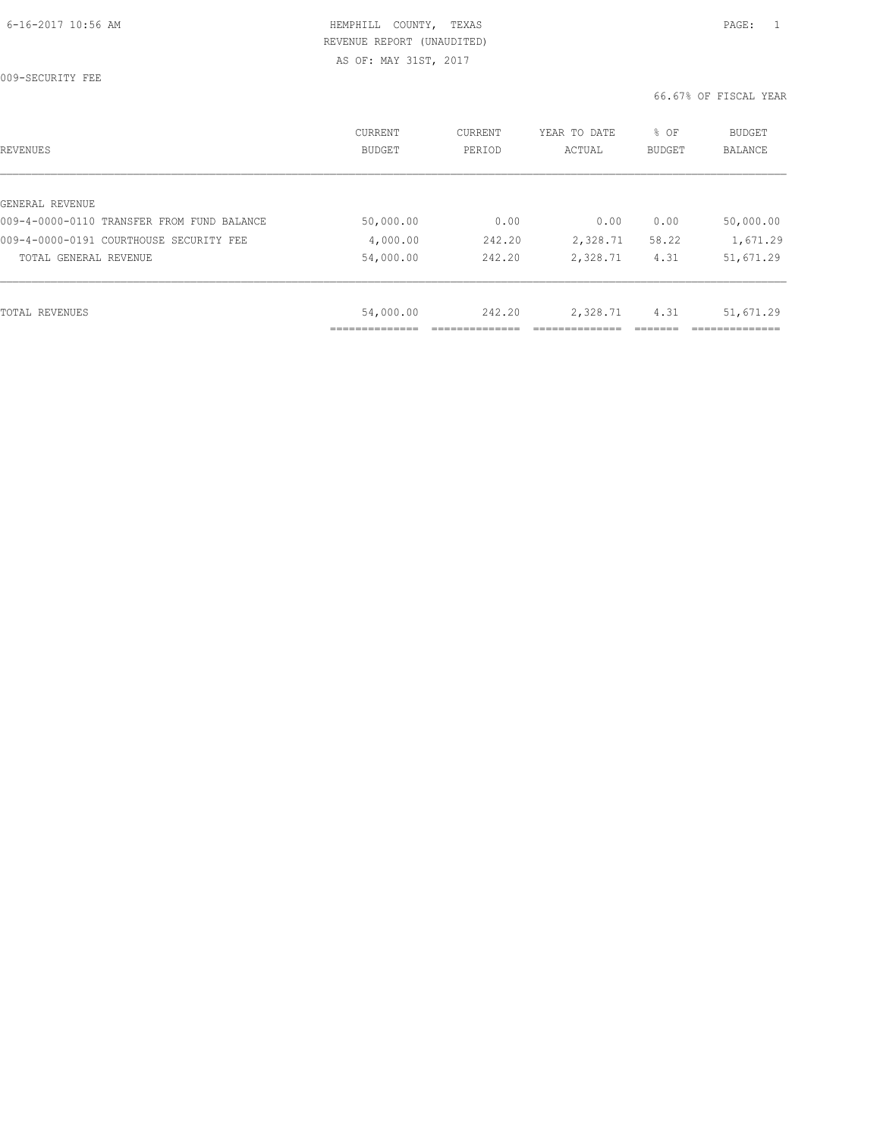009-SECURITY FEE

| REVENUES                                   | <b>CURRENT</b><br><b>BUDGET</b> | CURRENT<br>PERIOD | YEAR TO DATE<br>ACTUAL | % OF<br><b>BUDGET</b> | BUDGET<br><b>BALANCE</b> |
|--------------------------------------------|---------------------------------|-------------------|------------------------|-----------------------|--------------------------|
|                                            |                                 |                   |                        |                       |                          |
| GENERAL REVENUE                            |                                 |                   |                        |                       |                          |
| 009-4-0000-0110 TRANSFER FROM FUND BALANCE | 50,000.00                       | 0.00              | 0.00                   | 0.00                  | 50,000.00                |
| 009-4-0000-0191 COURTHOUSE SECURITY FEE    | 4,000.00                        | 242.20            | 2,328.71               | 58.22                 | 1,671.29                 |
| TOTAL GENERAL REVENUE                      | 54,000.00                       | 242.20            | 2,328.71               | 4.31                  | 51,671.29                |
|                                            |                                 |                   |                        |                       |                          |
| TOTAL REVENUES                             | 54,000.00                       | 242.20            | 2,328.71               | 4.31                  | 51,671.29                |
|                                            |                                 |                   |                        |                       |                          |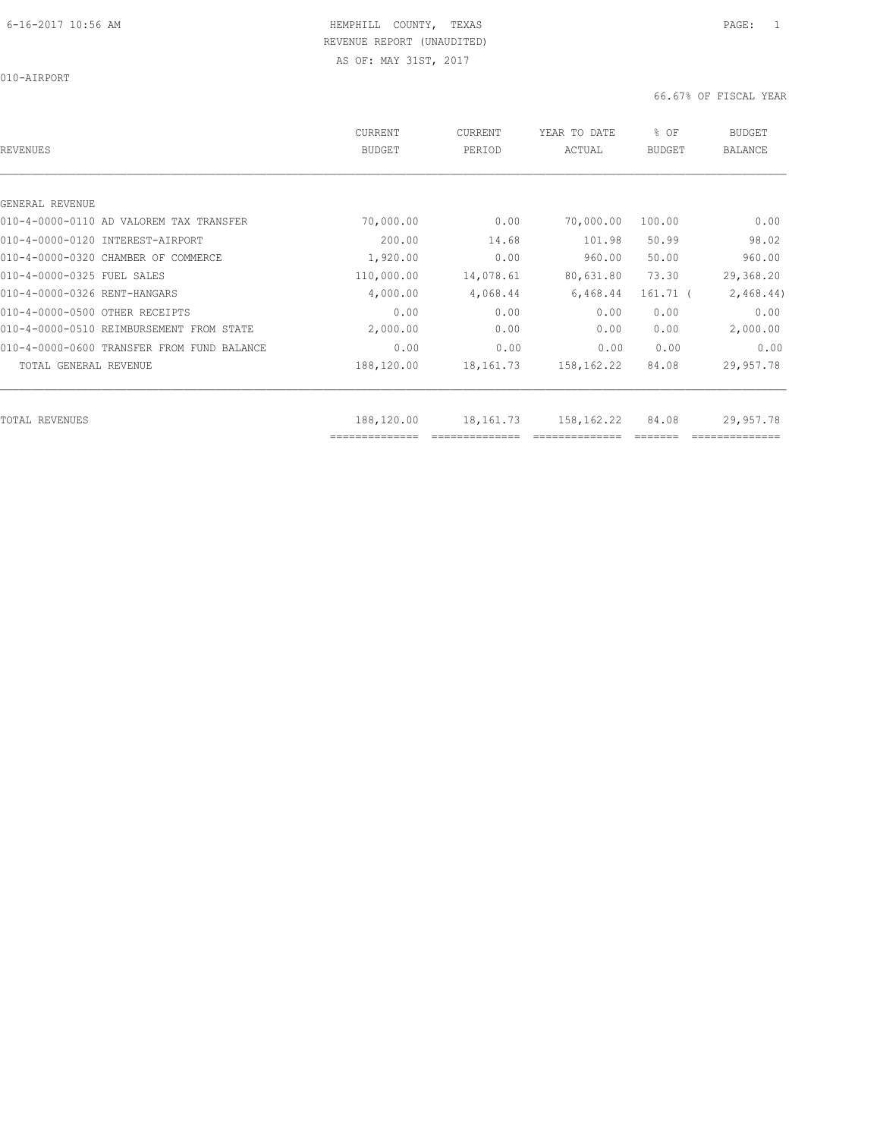010-AIRPORT

|                                            | CURRENT        | CURRENT     | YEAR TO DATE | % OF       | <b>BUDGET</b>  |
|--------------------------------------------|----------------|-------------|--------------|------------|----------------|
| REVENUES                                   | <b>BUDGET</b>  | PERIOD      | ACTUAL       | BUDGET     | <b>BALANCE</b> |
|                                            |                |             |              |            |                |
|                                            |                |             |              |            |                |
| GENERAL REVENUE                            |                |             |              |            |                |
| 010-4-0000-0110 AD VALOREM TAX TRANSFER    | 70,000.00      | 0.00        | 70,000.00    | 100.00     | 0.00           |
| 010-4-0000-0120 INTEREST-AIRPORT           | 200.00         | 14.68       | 101.98       | 50.99      | 98.02          |
| 010-4-0000-0320 CHAMBER OF COMMERCE        | 1,920.00       | 0.00        | 960.00       | 50.00      | 960.00         |
| 010-4-0000-0325 FUEL SALES                 | 110,000.00     | 14,078.61   | 80,631.80    | 73.30      | 29,368.20      |
| 010-4-0000-0326 RENT-HANGARS               | 4,000.00       | 4,068.44    | 6,468.44     | $161.71$ ( | 2,468.44)      |
| 010-4-0000-0500 OTHER RECEIPTS             | 0.00           | 0.00        | 0.00         | 0.00       | 0.00           |
| 010-4-0000-0510 REIMBURSEMENT FROM STATE   | 2,000.00       | 0.00        | 0.00         | 0.00       | 2,000.00       |
| 010-4-0000-0600 TRANSFER FROM FUND BALANCE | 0.00           | 0.00        | 0.00         | 0.00       | 0.00           |
| TOTAL GENERAL REVENUE                      | 188,120.00     | 18,161.73   | 158,162.22   | 84.08      | 29,957.78      |
|                                            |                |             |              |            |                |
| TOTAL REVENUES                             | 188,120.00     | 18, 161. 73 | 158,162.22   | 84.08      | 29,957.78      |
|                                            | ============== |             |              |            |                |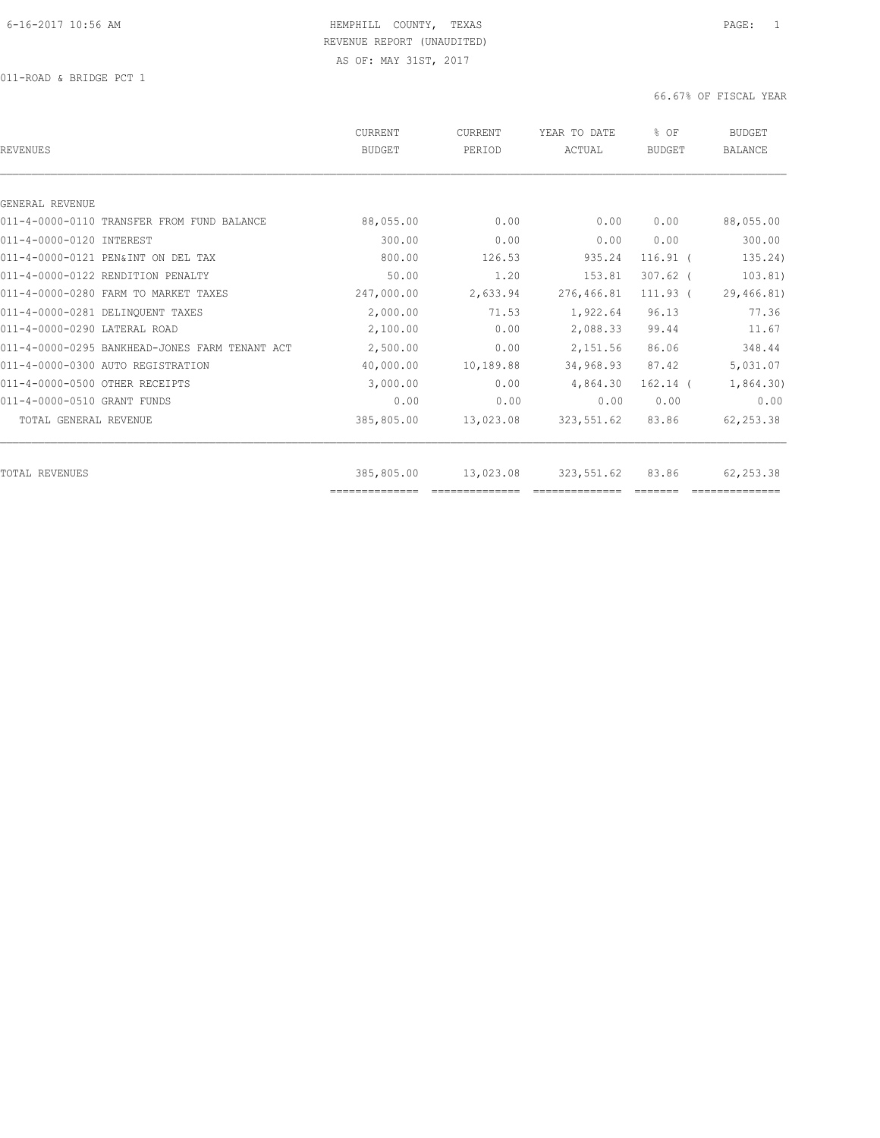| REVENUES                                       | CURRENT<br><b>BUDGET</b>     | <b>CURRENT</b><br>PERIOD | YEAR TO DATE<br>ACTUAL | % OF<br>BUDGET | <b>BUDGET</b><br><b>BALANCE</b> |
|------------------------------------------------|------------------------------|--------------------------|------------------------|----------------|---------------------------------|
|                                                |                              |                          |                        |                |                                 |
| GENERAL REVENUE                                |                              |                          |                        |                |                                 |
| 011-4-0000-0110 TRANSFER FROM FUND BALANCE     | 88,055.00                    | 0.00                     | 0.00                   | 0.00           | 88,055.00                       |
| 011-4-0000-0120 INTEREST                       | 300.00                       | 0.00                     | 0.00                   | 0.00           | 300.00                          |
| 011-4-0000-0121 PEN&INT ON DEL TAX             | 800.00                       | 126.53                   | 935.24                 | $116.91$ (     | 135.24)                         |
| 011-4-0000-0122 RENDITION PENALTY              | 50.00                        | 1.20                     | 153.81                 | $307.62$ (     | 103.81)                         |
| 011-4-0000-0280 FARM TO MARKET TAXES           | 247,000.00                   | 2,633.94                 | 276,466.81             | $111.93$ (     | 29,466.81)                      |
| 011-4-0000-0281 DELINQUENT TAXES               | 2,000.00                     | 71.53                    | 1,922.64               | 96.13          | 77.36                           |
| 011-4-0000-0290 LATERAL ROAD                   | 2,100.00                     | 0.00                     | 2,088.33               | 99.44          | 11.67                           |
| 011-4-0000-0295 BANKHEAD-JONES FARM TENANT ACT | 2,500.00                     | 0.00                     | 2,151.56               | 86.06          | 348.44                          |
| 011-4-0000-0300 AUTO REGISTRATION              | 40,000.00                    | 10,189.88                | 34,968.93              | 87.42          | 5,031.07                        |
| 011-4-0000-0500 OTHER RECEIPTS                 | 3,000.00                     | 0.00                     | 4,864.30               | $162.14$ (     | 1,864.30)                       |
| 011-4-0000-0510 GRANT FUNDS                    | 0.00                         | 0.00                     | 0.00                   | 0.00           | 0.00                            |
| TOTAL GENERAL REVENUE                          | 385,805.00                   | 13,023.08                | 323,551.62             | 83.86          | 62, 253.38                      |
|                                                |                              |                          |                        |                |                                 |
| TOTAL REVENUES                                 | 385,805.00<br>============== | 13,023.08                | 323,551.62             | 83.86          | 62, 253.38                      |
|                                                |                              |                          |                        |                |                                 |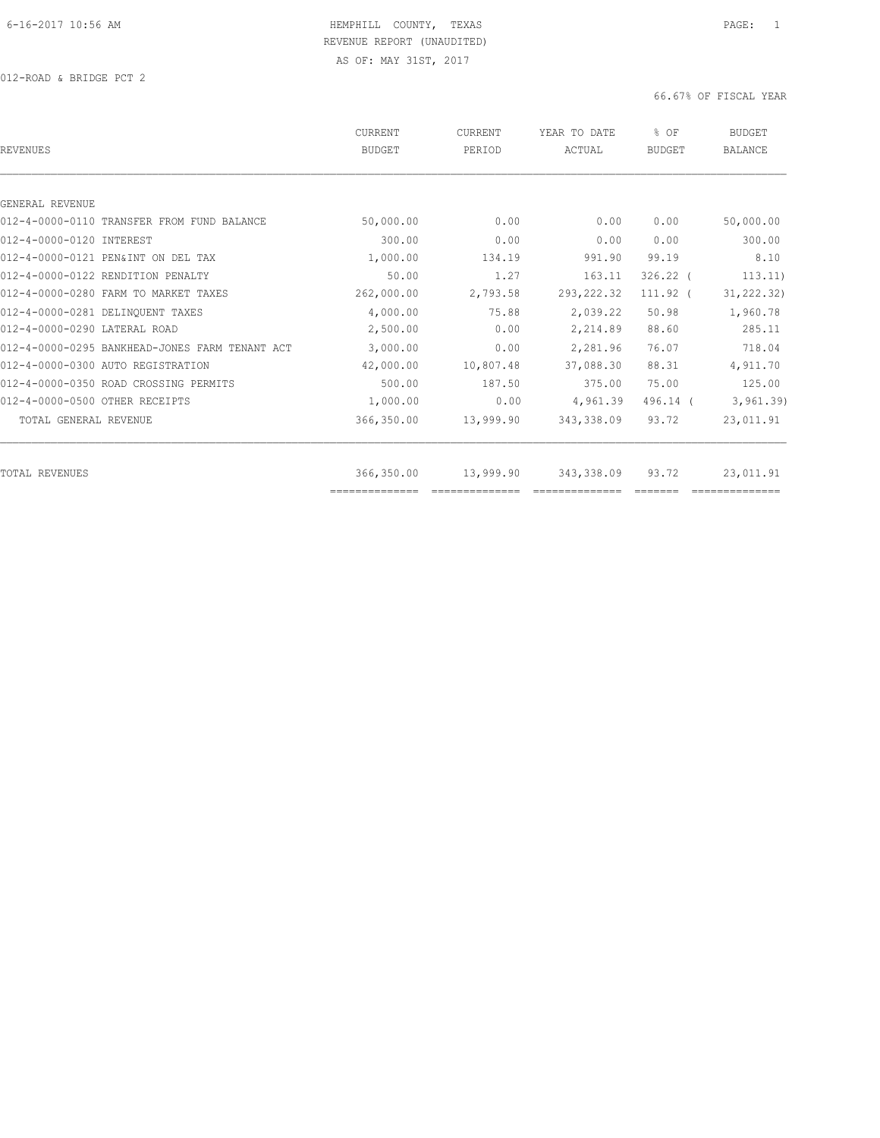012-ROAD & BRIDGE PCT 2

| REVENUES                                       | CURRENT<br><b>BUDGET</b> | CURRENT<br>PERIOD | YEAR TO DATE<br>ACTUAL | % OF<br><b>BUDGET</b> | <b>BUDGET</b><br><b>BALANCE</b> |
|------------------------------------------------|--------------------------|-------------------|------------------------|-----------------------|---------------------------------|
|                                                |                          |                   |                        |                       |                                 |
| GENERAL REVENUE                                |                          |                   |                        |                       |                                 |
| 012-4-0000-0110 TRANSFER FROM FUND BALANCE     | 50,000.00                | 0.00              | 0.00                   | 0.00                  | 50,000.00                       |
| 012-4-0000-0120 INTEREST                       | 300.00                   | 0.00              | 0.00                   | 0.00                  | 300.00                          |
| 012-4-0000-0121 PEN&INT ON DEL TAX             | 1,000.00                 | 134.19            | 991.90                 | 99.19                 | 8.10                            |
| 012-4-0000-0122 RENDITION PENALTY              | 50.00                    | 1.27              | 163.11                 | $326.22$ (            | 113.11)                         |
| 012-4-0000-0280 FARM TO MARKET TAXES           | 262,000.00               | 2,793.58          | 293, 222.32            | $111.92$ (            | 31, 222.32)                     |
| 012-4-0000-0281 DELINQUENT TAXES               | 4,000.00                 | 75.88             | 2,039.22               | 50.98                 | 1,960.78                        |
| 012-4-0000-0290 LATERAL ROAD                   | 2,500.00                 | 0.00              | 2,214.89               | 88.60                 | 285.11                          |
| 012-4-0000-0295 BANKHEAD-JONES FARM TENANT ACT | 3,000.00                 | 0.00              | 2,281.96               | 76.07                 | 718.04                          |
| 012-4-0000-0300 AUTO REGISTRATION              | 42,000.00                | 10,807.48         | 37,088.30              | 88.31                 | 4,911.70                        |
| 012-4-0000-0350 ROAD CROSSING PERMITS          | 500.00                   | 187.50            | 375.00                 | 75.00                 | 125.00                          |
| 012-4-0000-0500 OTHER RECEIPTS                 | 1,000.00                 | 0.00              | 4,961.39               | $496.14$ (            | 3,961.39)                       |
| TOTAL GENERAL REVENUE                          | 366,350.00               | 13,999.90         | 343,338.09             | 93.72                 | 23,011.91                       |
| TOTAL REVENUES                                 | 366,350.00               | 13,999.90         | 343,338.09             | 93.72                 | 23,011.91                       |
|                                                | ==============           |                   |                        |                       |                                 |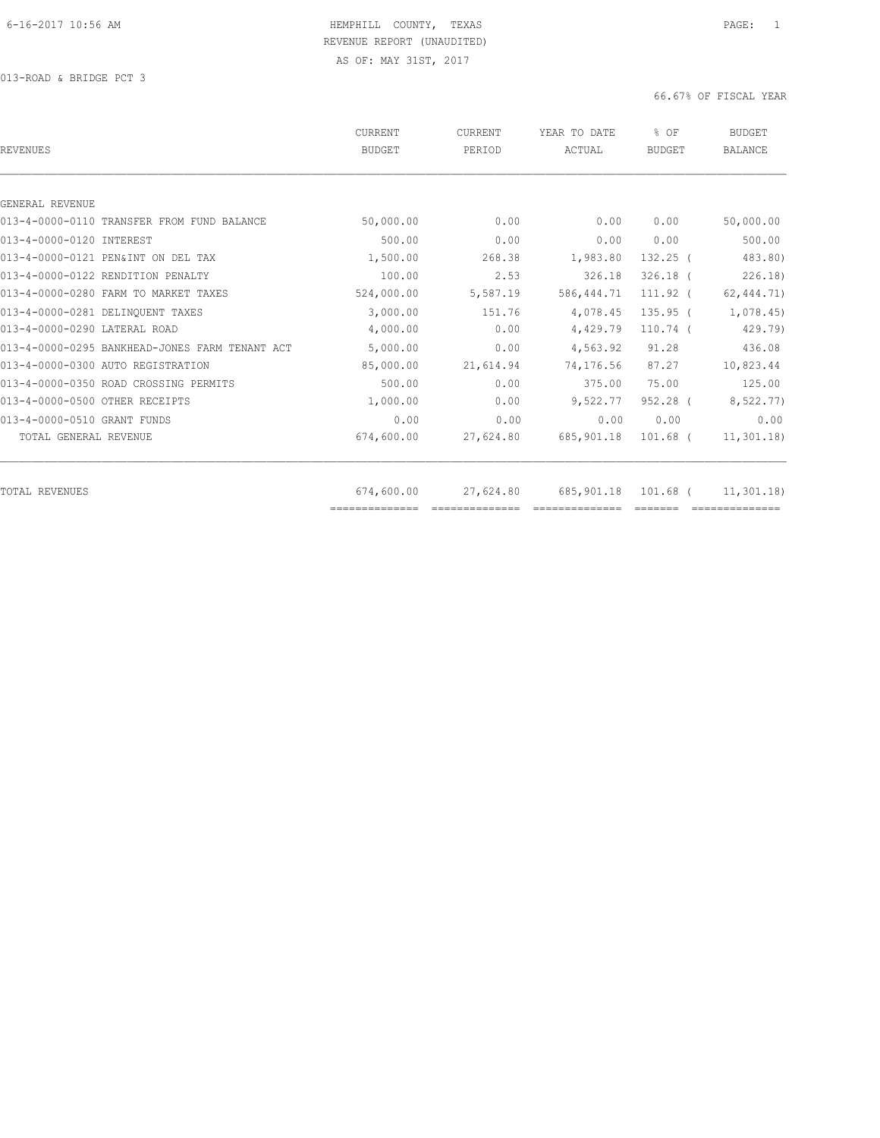013-ROAD & BRIDGE PCT 3

| 0.00<br>0.00<br>268.38<br>2.53<br>5,587.19 | 0.00<br>0.00<br>1,983.80<br>326.18<br>586, 444.71 | 0.00<br>0.00<br>$132.25$ (<br>$326.18$ ( | 50,000.00<br>500.00<br>483.80)<br>226.18                                                                                                                                                                                                                                                                                                                                                                                                                                                                                                        |
|--------------------------------------------|---------------------------------------------------|------------------------------------------|-------------------------------------------------------------------------------------------------------------------------------------------------------------------------------------------------------------------------------------------------------------------------------------------------------------------------------------------------------------------------------------------------------------------------------------------------------------------------------------------------------------------------------------------------|
|                                            |                                                   |                                          |                                                                                                                                                                                                                                                                                                                                                                                                                                                                                                                                                 |
|                                            |                                                   |                                          |                                                                                                                                                                                                                                                                                                                                                                                                                                                                                                                                                 |
|                                            |                                                   |                                          |                                                                                                                                                                                                                                                                                                                                                                                                                                                                                                                                                 |
|                                            |                                                   |                                          |                                                                                                                                                                                                                                                                                                                                                                                                                                                                                                                                                 |
|                                            |                                                   |                                          |                                                                                                                                                                                                                                                                                                                                                                                                                                                                                                                                                 |
|                                            |                                                   |                                          |                                                                                                                                                                                                                                                                                                                                                                                                                                                                                                                                                 |
|                                            |                                                   | 111.92 (                                 | 62, 444.71)                                                                                                                                                                                                                                                                                                                                                                                                                                                                                                                                     |
| 151.76                                     | 4,078.45                                          | $135.95$ (                               | 1,078.45)                                                                                                                                                                                                                                                                                                                                                                                                                                                                                                                                       |
| 0.00                                       | 4,429.79                                          | $110.74$ (                               | 429.79)                                                                                                                                                                                                                                                                                                                                                                                                                                                                                                                                         |
| 0.00                                       | 4,563.92                                          | 91.28                                    | 436.08                                                                                                                                                                                                                                                                                                                                                                                                                                                                                                                                          |
| 21,614.94                                  | 74,176.56                                         | 87.27                                    | 10,823.44                                                                                                                                                                                                                                                                                                                                                                                                                                                                                                                                       |
| 0.00                                       | 375.00                                            | 75.00                                    | 125.00                                                                                                                                                                                                                                                                                                                                                                                                                                                                                                                                          |
| 0.00                                       | 9,522.77                                          | $952.28$ (                               | 8,522.77)                                                                                                                                                                                                                                                                                                                                                                                                                                                                                                                                       |
| 0.00                                       | 0.00                                              | 0.00                                     | 0.00                                                                                                                                                                                                                                                                                                                                                                                                                                                                                                                                            |
| 27,624.80                                  | 685,901.18                                        | $101.68$ (                               | 11, 301.18                                                                                                                                                                                                                                                                                                                                                                                                                                                                                                                                      |
|                                            |                                                   |                                          | 11,301.18                                                                                                                                                                                                                                                                                                                                                                                                                                                                                                                                       |
|                                            | 27,624.80                                         | 685, 901.18                              | 101.68 (<br>$\begin{array}{cccccccccc} \multicolumn{2}{c}{} & \multicolumn{2}{c}{} & \multicolumn{2}{c}{} & \multicolumn{2}{c}{} & \multicolumn{2}{c}{} & \multicolumn{2}{c}{} & \multicolumn{2}{c}{} & \multicolumn{2}{c}{} & \multicolumn{2}{c}{} & \multicolumn{2}{c}{} & \multicolumn{2}{c}{} & \multicolumn{2}{c}{} & \multicolumn{2}{c}{} & \multicolumn{2}{c}{} & \multicolumn{2}{c}{} & \multicolumn{2}{c}{} & \multicolumn{2}{c}{} & \multicolumn{2}{c}{} & \multicolumn{2}{c}{} & \mult$<br>==============<br>$=$ $=$ $=$ $=$ $=$ $=$ |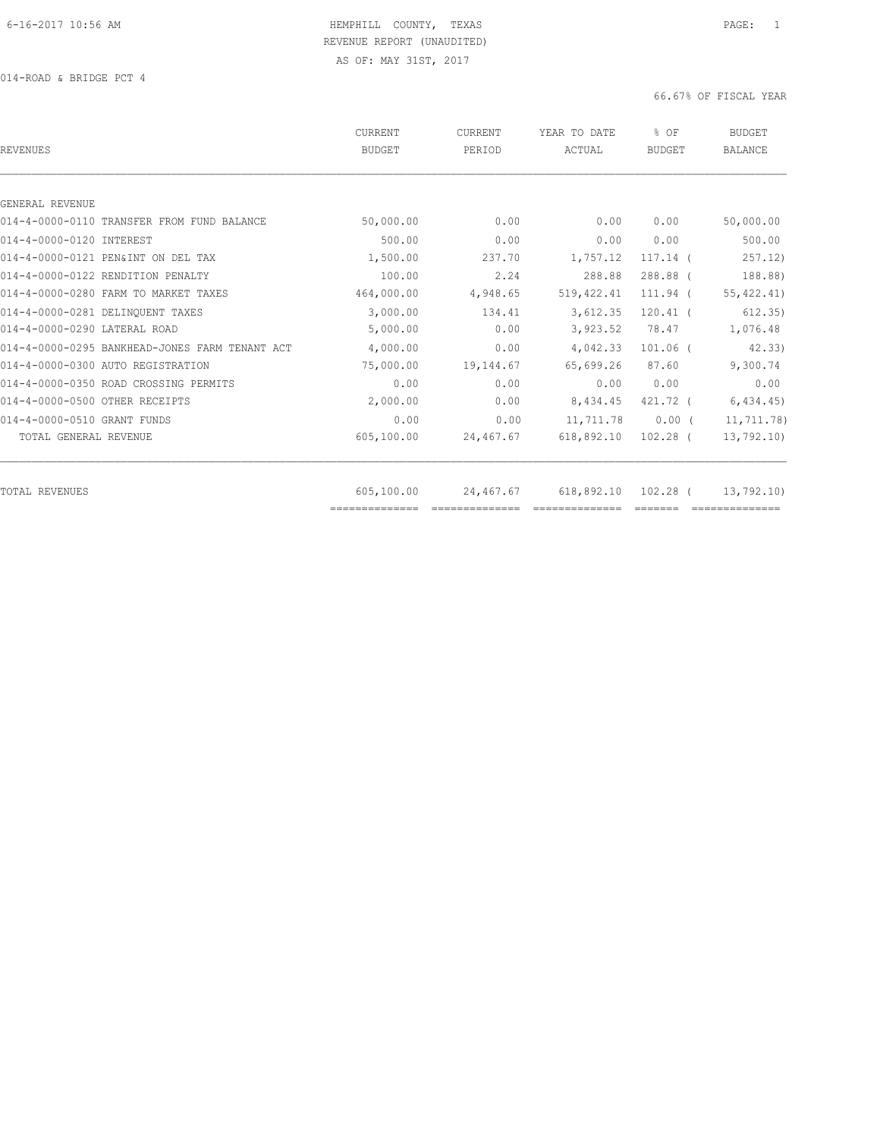014-ROAD & BRIDGE PCT 4

| REVENUES                                       | CURRENT<br><b>BUDGET</b> | CURRENT<br>PERIOD | YEAR TO DATE<br>ACTUAL | % OF<br><b>BUDGET</b> | <b>BUDGET</b><br><b>BALANCE</b> |
|------------------------------------------------|--------------------------|-------------------|------------------------|-----------------------|---------------------------------|
|                                                |                          |                   |                        |                       |                                 |
| GENERAL REVENUE                                |                          |                   |                        |                       |                                 |
| 014-4-0000-0110 TRANSFER FROM FUND BALANCE     | 50,000.00                | 0.00              | 0.00                   | 0.00                  | 50,000.00                       |
| 014-4-0000-0120 INTEREST                       | 500.00                   | 0.00              | 0.00                   | 0.00                  | 500.00                          |
| 014-4-0000-0121 PEN&INT ON DEL TAX             | 1,500.00                 | 237.70            | 1,757.12               | $117.14$ (            | 257.12)                         |
| 014-4-0000-0122 RENDITION PENALTY              | 100.00                   | 2.24              | 288.88                 | 288.88 (              | 188.88)                         |
| 014-4-0000-0280 FARM TO MARKET TAXES           | 464,000.00               | 4,948.65          | 519, 422.41            | 111.94 (              | 55, 422.41)                     |
| 014-4-0000-0281 DELINQUENT TAXES               | 3,000.00                 | 134.41            | 3,612.35               | $120.41$ (            | 612.35)                         |
| 014-4-0000-0290 LATERAL ROAD                   | 5,000.00                 | 0.00              | 3,923.52               | 78.47                 | 1,076.48                        |
| 014-4-0000-0295 BANKHEAD-JONES FARM TENANT ACT | 4,000.00                 | 0.00              | 4,042.33               | $101.06$ (            | 42.33                           |
| 014-4-0000-0300 AUTO REGISTRATION              | 75,000.00                | 19,144.67         | 65,699.26              | 87.60                 | 9,300.74                        |
| 014-4-0000-0350 ROAD CROSSING PERMITS          | 0.00                     | 0.00              | 0.00                   | 0.00                  | 0.00                            |
| 014-4-0000-0500 OTHER RECEIPTS                 | 2,000.00                 | 0.00              | 8,434.45               | 421.72 (              | 6, 434.45                       |
| 014-4-0000-0510 GRANT FUNDS                    | 0.00                     | 0.00              | 11,711.78              | $0.00$ (              | 11,711.78)                      |
| TOTAL GENERAL REVENUE                          | 605,100.00               | 24,467.67         | 618,892.10             | 102.28 (              | 13,792.10                       |
| TOTAL REVENUES                                 | 605,100.00               | 24,467.67         | 618,892.10             | 102.28 (              | 13,792.10)                      |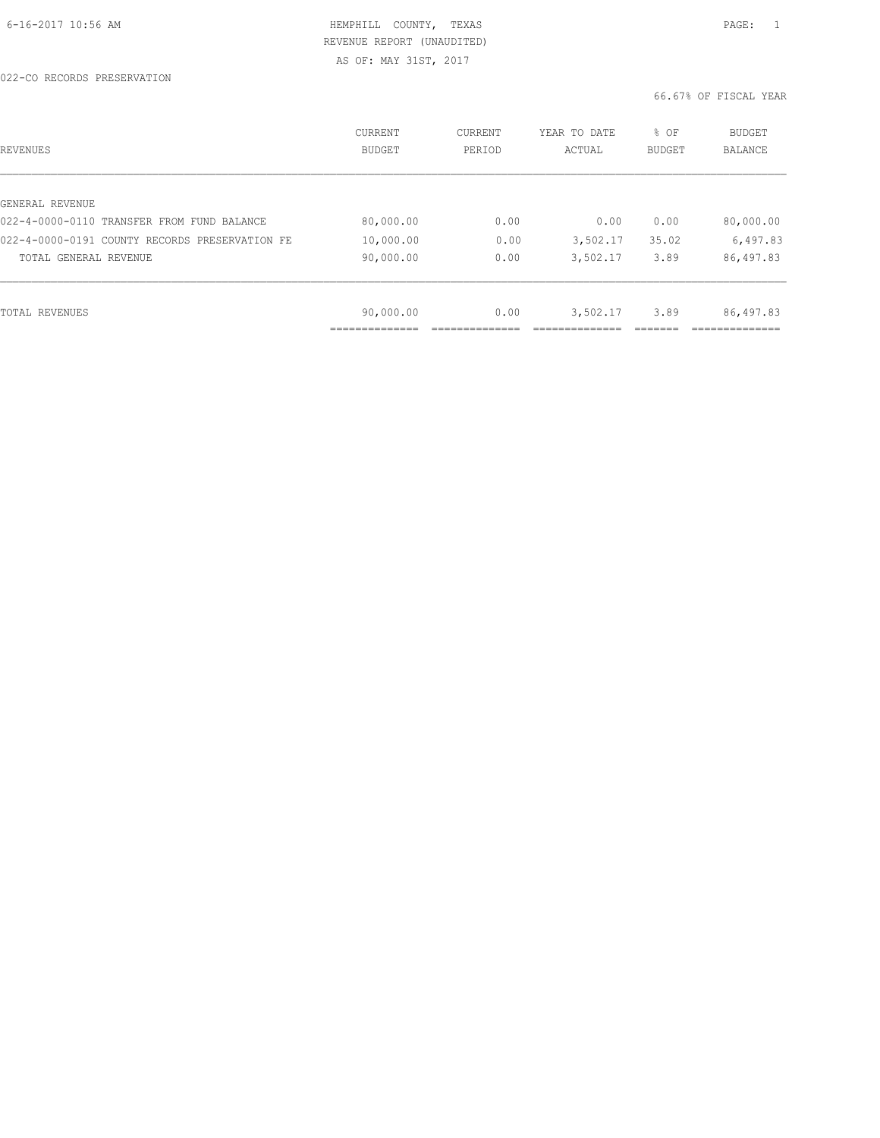| REVENUES                                       | CURRENT<br><b>BUDGET</b> | CURRENT<br>PERIOD | YEAR TO DATE<br>ACTUAL | % OF<br>BUDGET | <b>BUDGET</b><br>BALANCE |
|------------------------------------------------|--------------------------|-------------------|------------------------|----------------|--------------------------|
|                                                |                          |                   |                        |                |                          |
| GENERAL REVENUE                                |                          |                   |                        |                |                          |
| 022-4-0000-0110 TRANSFER FROM FUND BALANCE     | 80,000.00                | 0.00              | 0.00                   | 0.00           | 80,000.00                |
| 022-4-0000-0191 COUNTY RECORDS PRESERVATION FE | 10,000.00                | 0.00              | 3,502.17               | 35.02          | 6,497.83                 |
| TOTAL GENERAL REVENUE                          | 90,000.00                | 0.00              | 3,502.17               | 3.89           | 86,497.83                |
|                                                |                          |                   |                        |                |                          |
| TOTAL REVENUES                                 | 90,000.00                | 0.00              | 3,502.17               | 3.89           | 86,497.83                |
|                                                |                          |                   |                        |                |                          |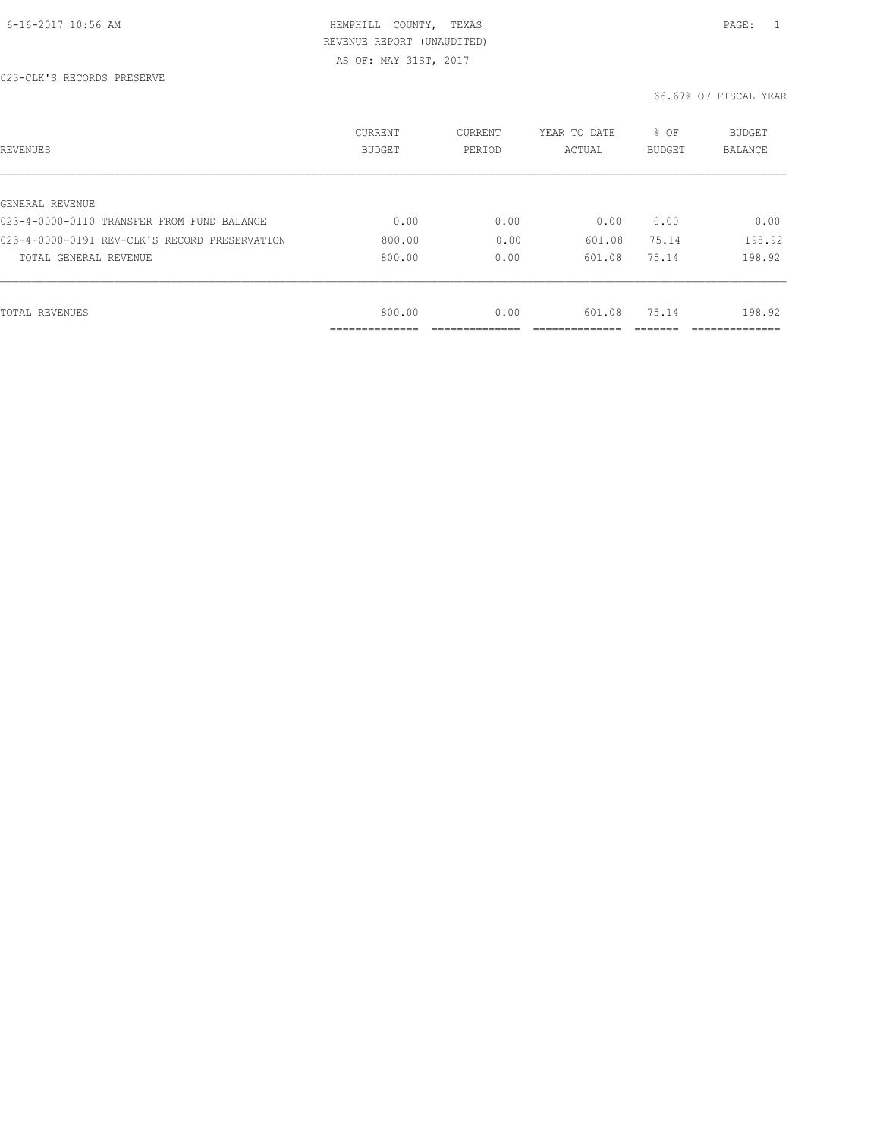| REVENUES                                      | CURRENT<br><b>BUDGET</b> | CURRENT<br>PERIOD | YEAR TO DATE<br>ACTUAL | % OF<br><b>BUDGET</b> | <b>BUDGET</b><br>BALANCE |
|-----------------------------------------------|--------------------------|-------------------|------------------------|-----------------------|--------------------------|
|                                               |                          |                   |                        |                       |                          |
| GENERAL REVENUE                               |                          |                   |                        |                       |                          |
| 023-4-0000-0110 TRANSFER FROM FUND BALANCE    | 0.00                     | 0.00              | 0.00                   | 0.00                  | 0.00                     |
| 023-4-0000-0191 REV-CLK'S RECORD PRESERVATION | 800.00                   | 0.00              | 601.08                 | 75.14                 | 198.92                   |
| TOTAL GENERAL REVENUE                         | 800.00                   | 0.00              | 601.08                 | 75.14                 | 198.92                   |
|                                               |                          |                   |                        |                       |                          |
| TOTAL REVENUES                                | 800.00                   | 0.00              | 601.08                 | 75.14                 | 198.92                   |
|                                               | ----------               |                   |                        |                       |                          |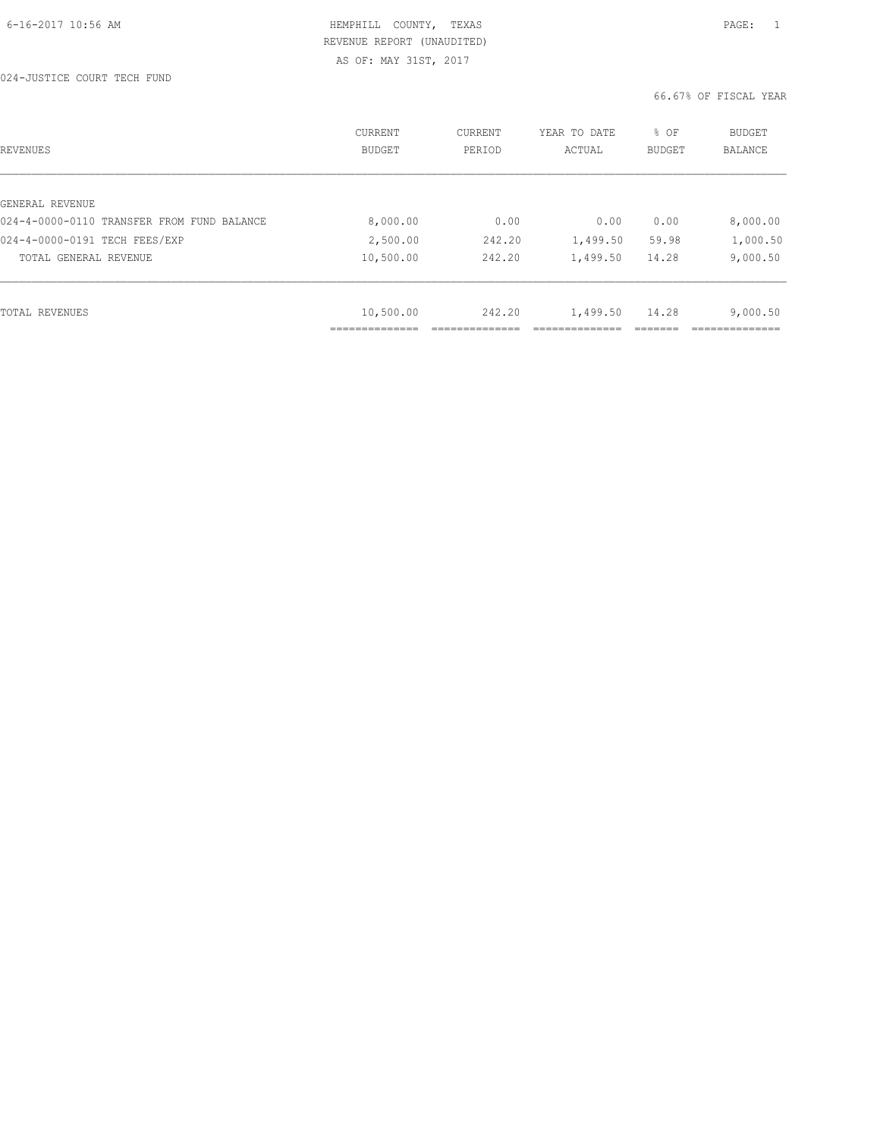| REVENUES                                   | CURRENT<br><b>BUDGET</b> | CURRENT<br>PERIOD | YEAR TO DATE<br>ACTUAL | % OF<br><b>BUDGET</b> | <b>BUDGET</b><br>BALANCE |
|--------------------------------------------|--------------------------|-------------------|------------------------|-----------------------|--------------------------|
|                                            |                          |                   |                        |                       |                          |
| GENERAL REVENUE                            |                          |                   |                        |                       |                          |
| 024-4-0000-0110 TRANSFER FROM FUND BALANCE | 8,000.00                 | 0.00              | 0.00                   | 0.00                  | 8,000.00                 |
| 024-4-0000-0191 TECH FEES/EXP              | 2,500.00                 | 242.20            | 1,499.50               | 59.98                 | 1,000.50                 |
| TOTAL GENERAL REVENUE                      | 10,500.00                | 242.20            | 1,499.50               | 14.28                 | 9,000.50                 |
|                                            |                          |                   |                        |                       |                          |
| TOTAL REVENUES                             | 10,500.00                | 242.20            | 1,499.50               | 14.28                 | 9,000.50                 |
|                                            |                          |                   |                        |                       |                          |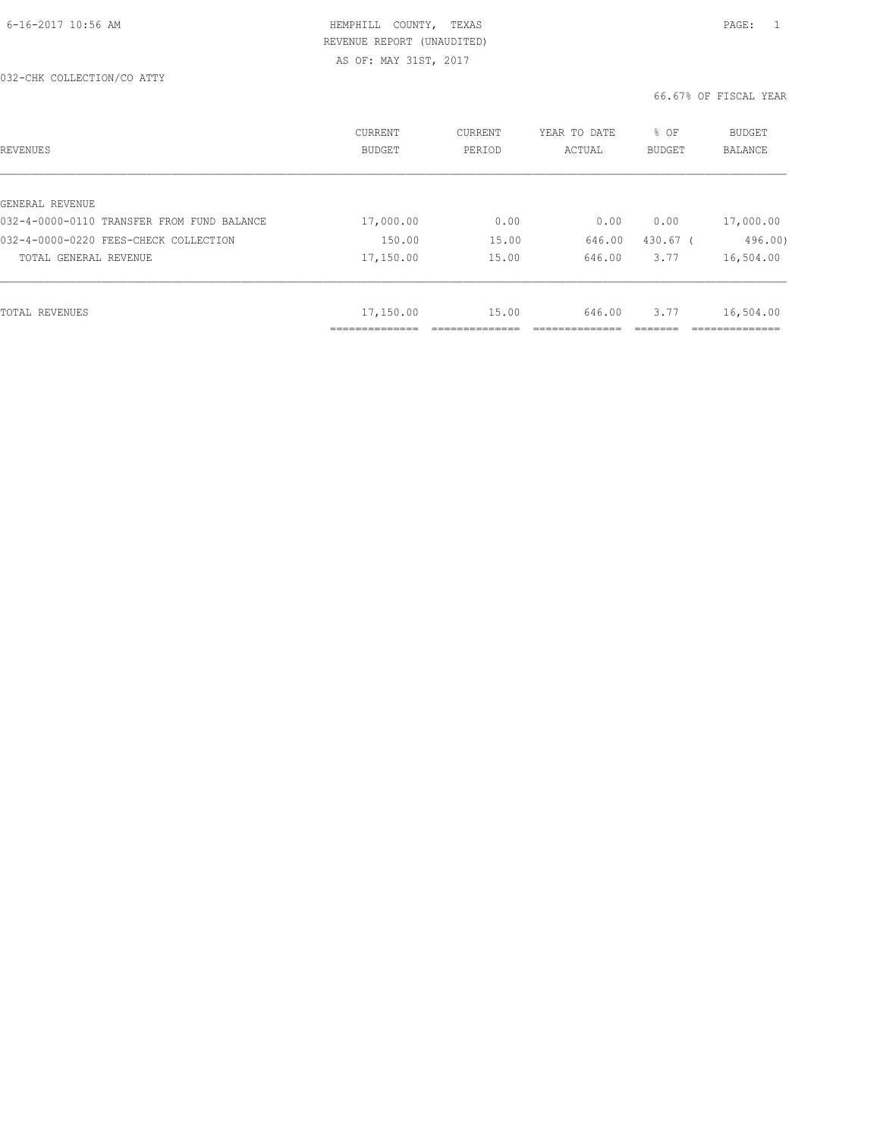| REVENUES                                   | CURRENT<br><b>BUDGET</b> | CURRENT<br>PERIOD | YEAR TO DATE<br>ACTUAL | % OF<br><b>BUDGET</b> | <b>BUDGET</b><br>BALANCE |
|--------------------------------------------|--------------------------|-------------------|------------------------|-----------------------|--------------------------|
|                                            |                          |                   |                        |                       |                          |
| GENERAL REVENUE                            |                          |                   |                        |                       |                          |
| 032-4-0000-0110 TRANSFER FROM FUND BALANCE | 17,000.00                | 0.00              | 0.00                   | 0.00                  | 17,000.00                |
| 032-4-0000-0220 FEES-CHECK COLLECTION      | 150.00                   | 15.00             | 646.00                 | 430.67 (              | 496.00)                  |
| TOTAL GENERAL REVENUE                      | 17,150.00                | 15.00             | 646.00                 | 3.77                  | 16,504.00                |
|                                            |                          |                   |                        |                       |                          |
| TOTAL REVENUES                             | 17,150.00                | 15.00             | 646.00                 | 3.77                  | 16,504.00                |
|                                            | .                        |                   |                        |                       |                          |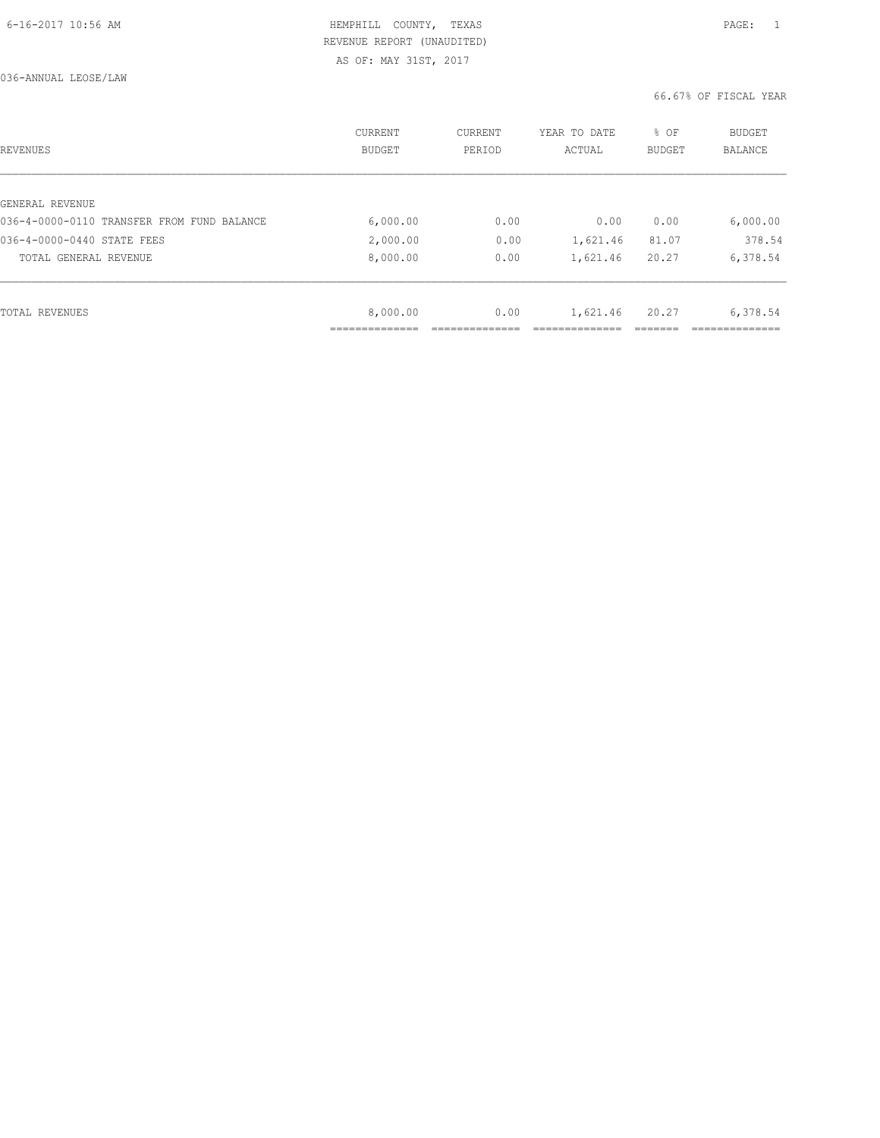| REVENUES                                   | CURRENT<br><b>BUDGET</b> | CURRENT<br>PERIOD | YEAR TO DATE<br>ACTUAL | % OF<br><b>BUDGET</b> | <b>BUDGET</b><br>BALANCE |
|--------------------------------------------|--------------------------|-------------------|------------------------|-----------------------|--------------------------|
|                                            |                          |                   |                        |                       |                          |
| GENERAL REVENUE                            |                          |                   |                        |                       |                          |
| 036-4-0000-0110 TRANSFER FROM FUND BALANCE | 6,000.00                 | 0.00              | 0.00                   | 0.00                  | 6,000.00                 |
| 036-4-0000-0440 STATE FEES                 | 2,000.00                 | 0.00              | 1,621.46               | 81.07                 | 378.54                   |
| TOTAL GENERAL REVENUE                      | 8,000.00                 | 0.00              | 1,621.46               | 20.27                 | 6,378.54                 |
|                                            |                          |                   |                        |                       |                          |
| TOTAL REVENUES                             | 8,000.00                 | 0.00              | 1,621.46               | 20.27                 | 6,378.54                 |
|                                            |                          |                   |                        |                       |                          |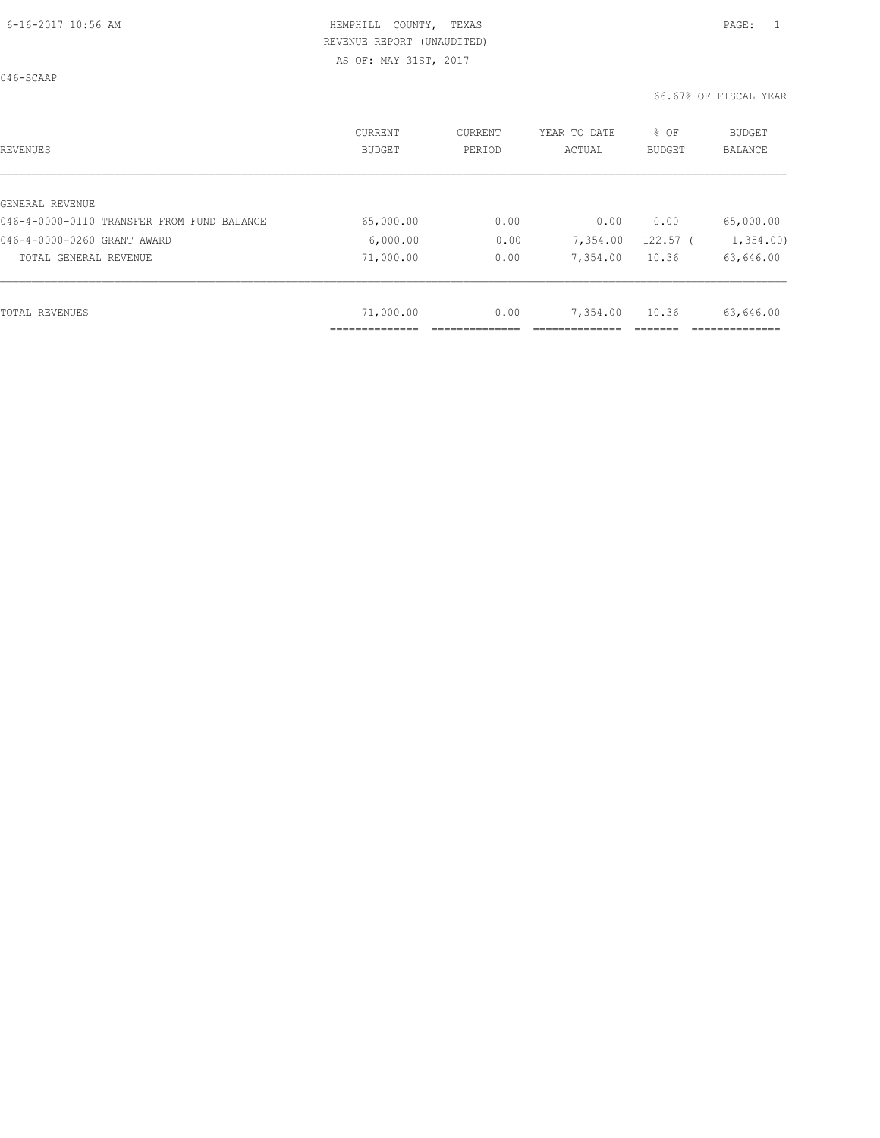AS OF: MAY 31ST, 2017

| <b>REVENUES</b>                            | CURRENT<br><b>BUDGET</b> | CURRENT<br>PERIOD | YEAR TO DATE<br>ACTUAL | % OF<br><b>BUDGET</b> | <b>BUDGET</b><br><b>BALANCE</b> |
|--------------------------------------------|--------------------------|-------------------|------------------------|-----------------------|---------------------------------|
|                                            |                          |                   |                        |                       |                                 |
| GENERAL REVENUE                            |                          |                   |                        |                       |                                 |
| 046-4-0000-0110 TRANSFER FROM FUND BALANCE | 65,000.00                | 0.00              | 0.00                   | 0.00                  | 65,000.00                       |
| 046-4-0000-0260 GRANT AWARD                | 6,000.00                 | 0.00              | 7,354.00               | $122.57$ (            | 1,354.00                        |
| TOTAL GENERAL REVENUE                      | 71,000.00                | 0.00              | 7,354.00               | 10.36                 | 63,646.00                       |
|                                            |                          |                   |                        |                       |                                 |
| <b>TOTAL REVENUES</b>                      | 71,000.00                | 0.00              | 7,354.00               | 10.36                 | 63,646.00                       |
|                                            | ______________           |                   |                        |                       |                                 |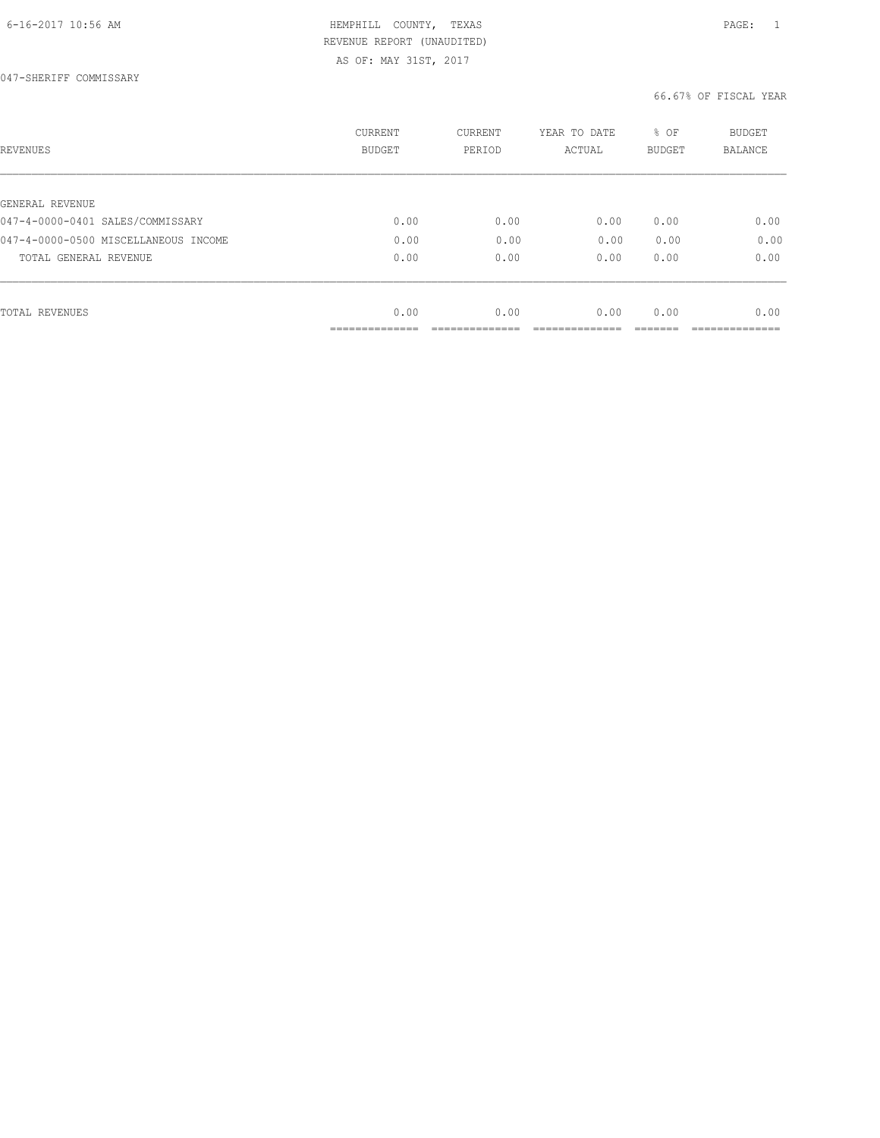| <b>REVENUES</b>                      | CURRENT<br><b>BUDGET</b> | CURRENT<br>PERIOD | YEAR TO DATE<br>ACTUAL | % OF<br><b>BUDGET</b> | <b>BUDGET</b><br>BALANCE |
|--------------------------------------|--------------------------|-------------------|------------------------|-----------------------|--------------------------|
|                                      |                          |                   |                        |                       |                          |
| GENERAL REVENUE                      |                          |                   |                        |                       |                          |
| 047-4-0000-0401 SALES/COMMISSARY     | 0.00                     | 0.00              | 0.00                   | 0.00                  | 0.00                     |
| 047-4-0000-0500 MISCELLANEOUS INCOME | 0.00                     | 0.00              | 0.00                   | 0.00                  | 0.00                     |
| TOTAL GENERAL REVENUE                | 0.00                     | 0.00              | 0.00                   | 0.00                  | 0.00                     |
|                                      |                          |                   |                        |                       |                          |
| <b>TOTAL REVENUES</b>                | 0.00                     | 0.00              | 0.00                   | 0.00                  | 0.00                     |
|                                      | ------------             |                   |                        |                       |                          |